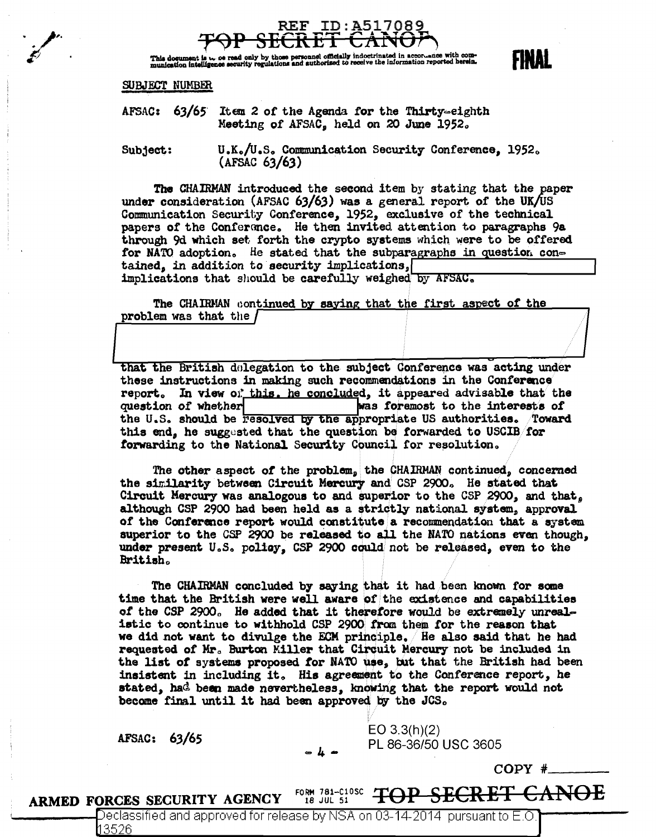

This document is **we see that the personal officially** indoctrinated in accordance with com-<br>munication intelligence security regulations and authorized to receive the information reported herein.

### SUBJECT NUMBER

AFSAC:  $63/65$  Item 2 of the Agenda for the Thirty-eighth Meeting of AFSAC, held on 20 June 1952.

U.K./U.S. Communication Security Conference, 1952. Subject:  $(AFSAC 63/63)$ 

The CHAIRMAN introduced the second item by stating that the paper under consideration (AFSAC 63/63) was a general report of the UK/US Communication Security Conference, 1952, exclusive of the technical papers of the Conference. He then invited attention to paragraphs 9a through 9d which set forth the crypto systems which were to be offered for NATO adoption. He stated that the subparagraphs in question contained, in addition to security implications, implications that should be carefully weighed by AFSAC.

The CHAIRMAN continued by saying that the first aspect of the problem was that the /

that the British delegation to the subject Conference was acting under these instructions in making such recommendations in the Conference report. In view of this, he concluded, it appeared advisable that the question of whether was foremost to the interests of the U.S. should be Fesolved by the appropriate US authorities. Toward this end, he suggested that the question be forwarded to USCIB for forwarding to the National Security Council for resolution.

The other aspect of the problem, the CHAIRMAN continued, concerned the similarity between Circuit Mercury and CSP 2900. He stated that Circuit Mercury was analogous to and superior to the CSP 2900, and that. although CSP 2900 had been held as a strictly national system, approval of the Conference report would constitute a recommendation that a system superior to the CSP 2900 be released to all the NATO nations even though. under present U.S. policy. CSP 2900 could not be released, even to the British.

The CHAIRMAN concluded by saying that it had been known for some time that the British were well aware of the existence and capabilities of the CSP 2900. He added that it therefore would be extremely unrealistic to continue to withhold CSP 2900 from them for the reason that we did not want to divulge the ECM principle. He also said that he had requested of Mr. Burton Miller that Circuit Mercury not be included in the list of systems proposed for NATO use, but that the British had been insistent in including it. His agreement to the Conference report, he stated, had been made nevertheless, knowing that the report would not become final until it had been approved by the JCS.

AFSAC: 63/65

 $EO 3.3(h)(2)$ PL 86-36/50 USC 3605

 $COPY$  #

FINAL

**SECRET CANOE** FORM 781-C10SC TOP ARMED FORCES SECURITY AGENCY 18 JUL 51

> Declassified and approved for release by NSA on 03-14-2014 pursuant to E.O ∦3526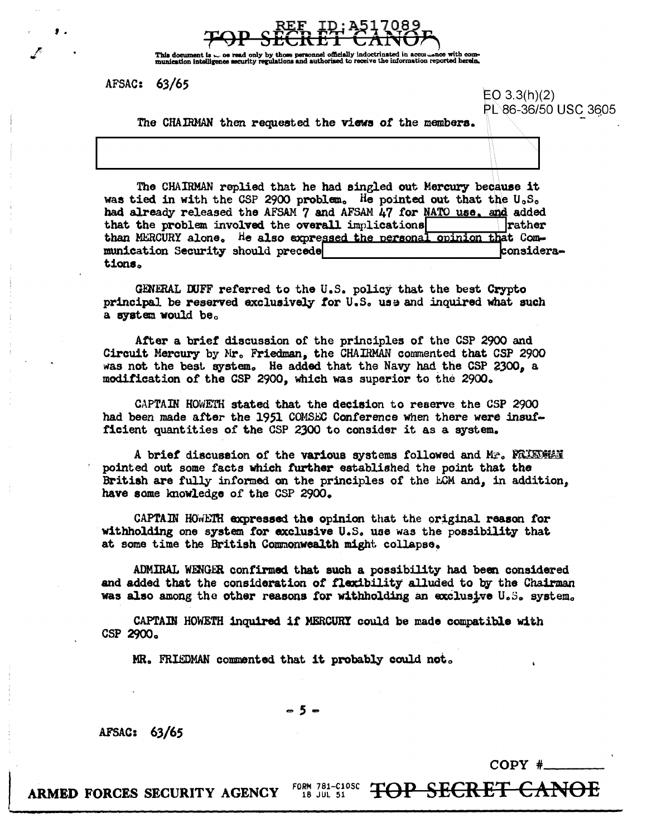

This document is  $\sim$  oe read only by those<br>munication intelligence security regulations ation reported herein.

AFSAC: 63/65

 $EO 3.3(h)(2)$ PL 86-36/50 USC 3605

The CHAIRMAN then requested the views of the members.

The CHAIRMAN replied that he had singled out Mercury because it was tied in with the CSP 2900 problem. He pointed out that the  $U_0S_0$ had already released the AFSAM 7 and AFSAM 47 for NATO use, and added that the problem involved the overall implications **rather** than MERCURY alone. He also expressed the personal opinion that Comconsideramunication Security should precede tions.

GENERAL DUFF referred to the U.S. policy that the best Crypto principal be reserved exclusively for U.S. use and inquired what such a system would be.

After a brief discussion of the principles of the CSP 2900 and Circuit Mercury by Mr. Friedman, the CHAIRMAN commented that CSP 2900 was not the best system. He added that the Navy had the CSP 2300. a modification of the CSP 2900, which was superior to the 2900.

CAPTAIN HOWETH stated that the decision to reserve the CSP 2900 had been made after the 1951 COMSEC Conference when there were insufficient quantities of the CSP 2300 to consider it as a system.

A brief discussion of the various systems followed and Mr. FRIEDMAN pointed out some facts which further established the point that the British are fully informed on the principles of the ECM and, in addition, have some knowledge of the CSP 2900.

CAPTAIN HOWETH expressed the opinion that the original reason for withholding one system for exclusive U.S. use was the possibility that at some time the British Commonwealth might collapse.

ADMIRAL WENGER confirmed that such a possibility had been considered and added that the consideration of flexibility alluded to by the Chairman was also among the other reasons for withholding an exclusive U.S. system.

CAPTAIN HOWETH inquired if MERCURY could be made compatible with CSP 2900.

MR. FRIEDMAN commented that it probably could not.

-5-

AFSAC: 63/65

 $COPY$  #

**TOP SECRET CANOE** FORM 781-C10SC ARMED FORCES SECURITY AGENCY 18 JUL 51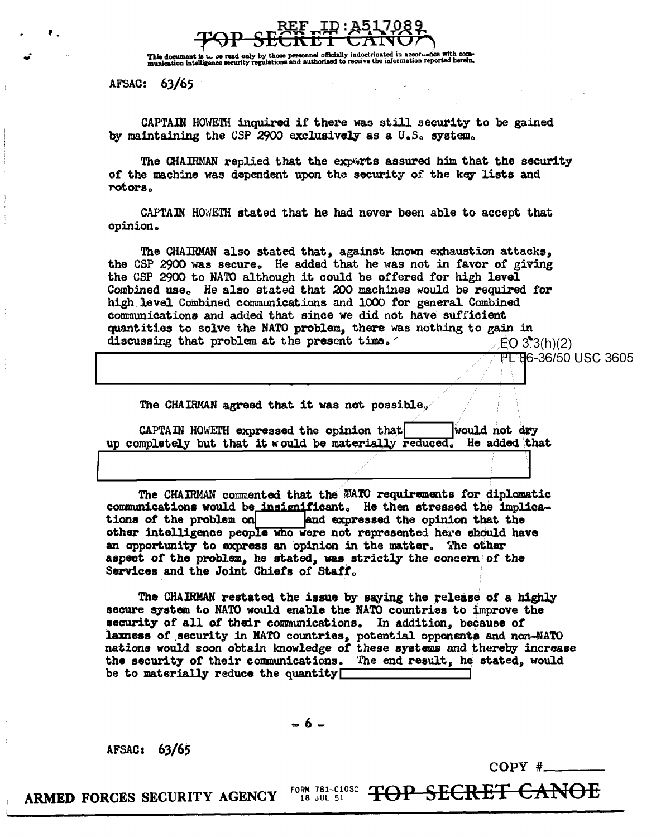

al officially indoctrinated in accoruance with com-This document is  $\omega$ , se read only by those personnel officially indoctrinated in accordance with com-<br>munication intelligence security regulations and authorized to receive the information reported herein.

AFSAC: 63/65

CAPTAIN HOWETH inquired if there was still security to be gained by maintaining the CSP 2900 exclusively as a U.S. system.

The CHAIRMAN replied that the experts assured him that the security of the machine was dependent upon the security of the key lists and rotors.

CAPTAIN HOWETH stated that he had never been able to accept that opinion.

The CHAIRMAN also stated that, against known exhaustion attacks, the CSP 2900 was secure. He added that he was not in favor of giving the CSP 2900 to NATO although it could be offered for high level Combined use. He also stated that 200 machines would be required for high level Combined communications and 1000 for general Combined communications and added that since we did not have sufficient quantities to solve the NATO problem, there was nothing to gain in discussing that problem at the present time.  $EO 3.3(h)(2)$ 

PL 86-36/50 USC 3605

The CHAIRMAN agreed that it was not possible.

CAPTAIN HOWETH expressed the opinion that would not dry up completely but that it would be materially reduced. He added that

The CHAIRMAN commented that the MATO requirements for diplomatic communications would be insignificant. He then stressed the implicaand expressed the opinion that the tions of the problem on other intelligence people who were not represented here should have an opportunity to express an opinion in the matter. The other aspect of the problem, he stated, was strictly the concern of the Services and the Joint Chiefs of Staff.

The CHAIRMAN restated the issue by saying the release of a highly secure system to NATO would enable the NATO countries to improve the security of all of their communications. In addition, because of laxness of security in NATO countries, potential opponents and non-NATO nations would soon obtain knowledge of these systems and thereby increase the security of their communications. The end result, he stated, would be to materially reduce the quantity  $\Box$ 

 $= 6 -$ 

AFSAC: 63/65

 $COPY$  #

FORM 781-C10SC TOP SECRET CANOE ARMED FORCES SECURITY AGENCY 18 JUL 51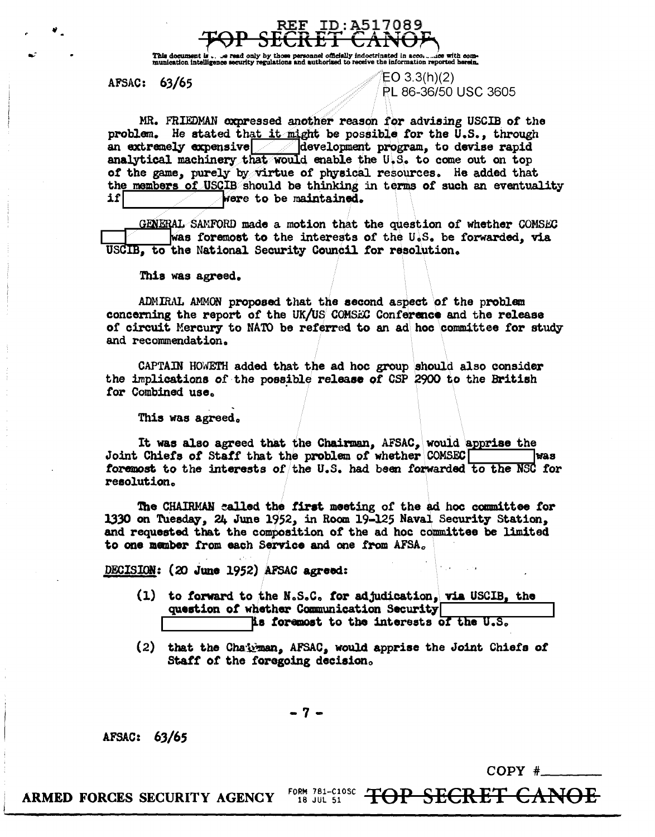

This document is  $\Box$  we read only by those personnel officially indoct munication intelligence security regulations and authorized to receive ted in acco<sub>re</sub> to with com-<br>information reported herein.

## AFSAC: 63/65

# $EO$  3.3(h)(2) PL 86-36/50 USC 3605

MR. FRIEDMAN oxpressed another reason for advising USCIB of the problem. He stated that it might be possible for the U.S., through an extremely expensive  $\sim$  development program, to devise rapid analytical machinery that would enable the U.S. to come out on top of the game, purely by virtue of physical resources. He added that the members of USCIB should be thinking in terms of such an eventuality 1f| were to be maintained.

GENERAL SAMFORD made a motion that the question of whether COMSEC was foremost to the interests of the U.S. be forwarded, via USCIB, to the National Security Council for resolution.

This was agreed.

ADMIRAL AMMON proposed that the second aspect of the problem concerning the report of the UK/US COMSEC Conference and the release of circuit Mercury to NATO be referred to an ad hoc committee for study and recommendation.

CAPTAIN HOWETH added that the ad hoc group should also consider the implications of the possible release of CSP 2900 to the British for Combined use.

This was agreed.

It was also agreed that the Chairman, AFSAC, would apprise the Joint Chiefs of Staff that the problem of whether COMSEC l Mas foremost to the interests of the U.S. had been forwarded to the NSC for resolution.

The CHAIRMAN called the first meeting of the ad hoc committee for 1330 on Tuesday, 24 June 1952, in Room 19-125 Naval Security Station. and requested that the composition of the ad hoc committee be limited to one member from each Service and one from AFSA.

DECISION: (20 June 1952) AFSAC agreed:

- (1) to forward to the N.S.C. for adjudication, via USCIB, the question of whether Communication Security is foremost to the interests of the U.S.
- (2) that the Chairman, AFSAC, would apprise the Joint Chiefs of Staff of the foregoing decision.

- 7 -

AFSAC: 63/65

 $COPY \#$ 

FORM 781-C10SC<br>18 JUL 51 **TOP SECRET CANOE** ARMED FORCES SECURITY AGENCY